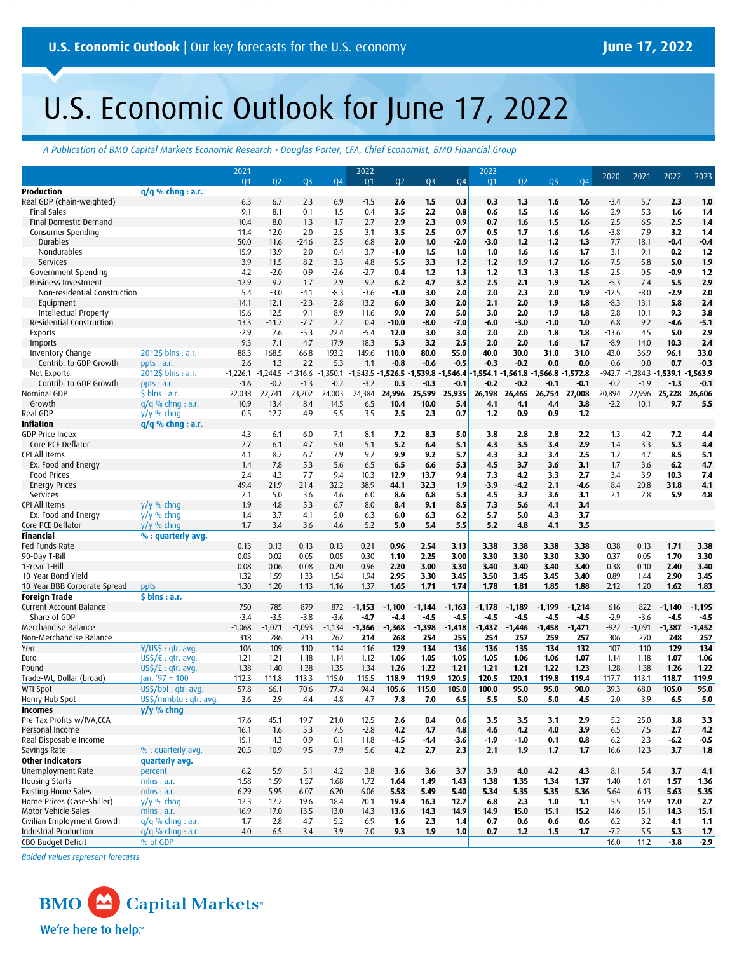# U.S. Economic Outlook for June 17, 2022

*A Publication of BMO Capital Markets Economic Research • Douglas Porter, CFA, Chief Economist, BMO Financial Group*

|                              |                         | 2021       |            |            |            | 2022     |               |                        |           | 2023           |                         |          |          | 2020    | 2021                 | 2022          | 2023       |
|------------------------------|-------------------------|------------|------------|------------|------------|----------|---------------|------------------------|-----------|----------------|-------------------------|----------|----------|---------|----------------------|---------------|------------|
|                              |                         | 01         | 02         | 03         | <b>Q4</b>  | 01       | 02            | Q <sub>3</sub>         | <b>Q4</b> | Q <sub>1</sub> | Q <sub>2</sub>          | 03       | 04       |         |                      |               |            |
| Production                   | $q/q$ % chng : a.r.     |            |            |            |            |          |               |                        |           |                |                         |          |          |         |                      |               |            |
| Real GDP (chain-weighted)    |                         | 6.3        | 6.7        | 2.3        | 6.9        | $-1.5$   | 2.6           | 1.5                    | 0.3       | 0.3            | 1.3                     | 1.6      | 1.6      | $-3.4$  | 5.7                  | 2.3           | 1.0        |
| <b>Final Sales</b>           |                         | 9.1        | 8.1        | 0.1        | 1.5        | $-0.4$   | 3.5           | 2.2                    | 0.8       | 0.6            | 1.5                     | 1.6      | 1.6      | $-2.9$  | 5.3                  | 1.6           | 1.4        |
| Final Domestic Demand        |                         | 10.4       | 8.0        | 1.3        | 1.7        | 2.7      | 2.9           | 2.3                    | 0.9       | 0.7            | 1.6                     | 1.5      | 1.6      | $-2.5$  | 6.5                  | 2.5           | 1.4        |
| Consumer Spending            |                         | 11.4       | 12.0       | 2.0        | 2.5        | 3.1      | 3.5           | 2.5                    | 0.7       | 0.5            | 1,7                     | 1.6      | 1.6      | $-3.8$  | 7.9                  | 3.2           | 1.4        |
| Durables                     |                         | 50.0       | 11.6       | $-24.6$    | 2.5        | 6.8      | 2.0           | 1.0                    | $-2.0$    | $-3.0$         | 1,2                     | 1,2      | 1.3      | 7.7     | 18.1                 | $-0.4$        | 0.4        |
| Nondurables                  |                         | 15.9       | 13.9       | 2.0        | 0.4        | $-3.7$   | $-1.0$        | 1.5                    | 1.0       | 1.0            | 1.6                     | 1.6      | 1.7      | 3.1     | 9.1                  | 0.2           | 1.2        |
| Services                     |                         | 3.9        | 11.5       | 8.2        | 3.3        | 4.8      | 5.5           | 3.3                    | 1,2       | 1.2            | 1.9                     | 1,7      | 1.6      | $-7.5$  | 5.8                  | 5.0           | 1.9        |
| Government Spending          |                         | 4.2        | $-2.0$     | 0.9        | $-2.6$     | -2.7     | 0.4           | 1,2                    | 1.3       | 1,2            | 1.3                     | 1.3      | 1.5      | 2.5     | 0.5                  | -0.9          | 1.2        |
| <b>Business Investment</b>   |                         | 12.9       | 9.2        | 1.7        | 2.9        | 9.2      | 6.2           | 4.7                    | 3.2       | 2.5            | 2.1                     | 1.9      | 1.8      | $-5.3$  | 7.4                  | 5.5           | 2.9        |
| Non-residential Construction |                         | 5.4        | $-3.0$     | $-4.1$     | $-8.3$     | $-3.6$   | $-1.0$        | 3.0                    | 2.0       | 2.0            | 2.3                     | 2.0      | 1.9      | $-12.5$ | $-8.0$               | $-2.9$        | 2.0        |
| Equipment                    |                         | 14.1       | 12.1       | $-2.3$     | 2.8        | 13.2     | 6.0           | 3.0                    | 2.0       | 2.1            | 2.0                     | 1.9      | 1.8      | $-8.3$  | 13.1                 | 5.8           | 2.4        |
| Intellectual Property        |                         | 15.6       | 12.5       | 9.1        | 8.9        | 11.6     | 9.0           | 7.0                    | 5.0       | 3.0            | 2.0                     | 1.9      | 1.8      | 2.8     | 10.1                 | 9.3           | 3.8        |
| Residential Construction     |                         | 13.3       | $-11.7$    | $-7.7$     | 2.2        | 0.4      | $-10.0$       | -8.0                   | $-7.0$    | $-6.0$         | $-3.0$                  | $-1.0$   | 1.0      | 6.8     | 9.2                  | $-4.6$        | $-5.1$     |
| <b>Exports</b>               |                         | $-2.9$     | 7.6        | $-5.3$     | 22.4       | $-5.4$   | 12.0          | 3.0                    | 3.0       | 2.0            | 2.0                     | 1.8      | 1.8      | $-13.6$ | 4.5                  | 5.0           | 2.9        |
| Imports                      |                         | 9.3        | 7.1        | 4.7        | 17.9       | 18.3     | 5.3           | 3.2                    | 2.5       | 2.0            | 2.0                     | 1.6      | 1.7      | $-8.9$  | 14.0                 | 10.3          | 2.4        |
| Inventory Change             | 2012\$ blns : a.r.      | $-88.3$    | $-168.5$   | -66.8      | 193.2      | 149.6    | 110.0         | 80.0                   | 55.0      | 40.0           | 30.0                    | 31.0     | 31.0     | $-43.0$ | $-36.9$              | 96.1          | 33.0       |
| Contrib. to GDP Growth       | ppts: a.r.              | $-2.6$     | $-1.3$     | 2.2        | 5.3        | $-1.1$   | $-0.8$        | $-0.6$                 | $-0.5$    | $-0.3$         | $-0.2$                  | 0.0      | 0.0      | $-0.6$  | 0.0                  | 0.7           | $-0.3$     |
| Net Exports                  | $20125$ blns : a.r.     | $-1,226.1$ | $-1,244.5$ | $-1,316.6$ | $-1,350.1$ | 1,543.5  |               | $-1,526.5 -1,539.8 -1$ | ,546.4    |                | 1,554.1 1,561.8 1,566.8 |          | 1,572.8  | -942.7  | $-1,284.3 - 1,539.1$ |               | $-1,563.9$ |
| Contrib. to GDP Growth       | ppts: a.r.              | $-1.6$     | $-0.2$     | $-1.3$     | $-0.2$     | $-3.2$   | 0.3           | $-0.3$                 | $-0.1$    | $-0.2$         | $-0.2$                  | $-0.1$   | $-0.1$   | $-0.2$  | $-1.9$               | $-1.3$        | $-0.1$     |
| Nominal GDP                  | $$$ blns : a.r.         | 22,038     | 22,741     | 23,202     | 24,003     | 24,384   | 24,996 25,599 |                        | 25,935    |                | 26,198 26,465           | 26,754   | 27,008   | 20,894  |                      | 22,996 25,228 | 26,606     |
| Growth                       | $q/q$ % chng : a.r.     | 10.9       | 13.4       | 8.4        | 14.5       | 6.5      | 10.4          | 10.0                   | 5.4       | 4.1            | 4.1                     | 4,4      | 3.8      | $-2.2$  | 10.1                 | 9.7           | 5.5        |
| Real GDP                     | $y/y \%$ chng           | 0.5        | 12.2       | 4.9        | 5.5        | 3.5      | 2.5           | 2.3                    | 0.7       | 1,2            | 0.9                     | 0.9      | $1.2$    |         |                      |               |            |
| <b>Inflation</b>             | $q/q$ % chng : a.r.     |            |            |            |            |          |               |                        |           |                |                         |          |          |         |                      |               |            |
| <b>GDP Price Index</b>       |                         | 4.3        | 6.1        | 6.0        | 7.1        | 8.1      | 7.2           | 8.3                    | 5.0       | 3.8            | 2.8                     | 2.8      | 2.2      | 1.3     | 4.2                  | 7.2           | 4.4        |
| Core PCE Deflator            |                         | 2.7        | 6.1        | 4.7        | 5.0        | 5.1      | 5.2           | 6.4                    | 5.1       | 4.3            | 3.5                     | 3.4      | 2.9      | 1.4     | 3.3                  | 5.3           | 4.4        |
| CPI All Items                |                         | 4.1        | 8.2        | 6.7        | 7.9        | 9.2      | 9.9           | 9.2                    | 5.7       | 4.3            | 3.2                     | 3.4      | 2.5      | 1.2     | 4.7                  | 8.5           | 5.1        |
| Ex. Food and Energy          |                         | 1.4        | 7.8        | 5.3        | 5.6        | 6.5      | 6.5           | 6.6                    | 5.3       | 4.5            | 3.7                     | 3.6      | 3.1      | 1.7     | 3.6                  | 6.2           | 4.7        |
| <b>Food Prices</b>           |                         | 2.4        | 4.3        | 7.7        | 9.4        | 10.3     | 12.9          | 13.7                   | 9,4       | 7.3            | 4.2                     | 3.3      | 2.7      | 3.4     | 3.9                  | 10.3          | 7.4        |
| <b>Energy Prices</b>         |                         | 49.4       | 21.9       | 21.4       | 32.2       | 38.9     | 44.1          | 32.3                   | 1.9       | $-3.9$         | -4.2                    | 2.1      | $-4.6$   | $-8.4$  | 20.8                 | 31.8          | 4.1        |
| Services                     |                         | 2.1        | 5.0        | 3.6        | 4.6        | 6.0      | 8.6           | 6.8                    | 5.3       | 4.5            | 3.7                     | 3.6      | 3.1      | 2.1     | 2.8                  | 5.9           | 4.8        |
| CPI All Items                | $V/V$ % chng            | 1.9        | 4.8        | 5.3        | 6.7        | 8.0      | 8.4           | 9.1                    | 8.5       | 7.3            | 5.6                     | 4.1      | 3.4      |         |                      |               |            |
| Ex. Food and Energy          | $y/y$ % chng            | 1.4        | 3.7        | 4.1        | 5.0        | 6.3      | 6.0           | 6.3                    | 6.2       | 5.7            | 5.0                     | 4.3      | 3.7      |         |                      |               |            |
| Core PCE Deflator            | $V/V$ % chng            | 1.7        | 3.4        | 3.6        | 4.6        | 5.2      | 5.0           | 5.4                    | 5.5       | 5.2            | 4.8                     | 4.1      | 3.5      |         |                      |               |            |
| <b>Financial</b>             | % : quarterly avg.      |            |            |            |            |          |               |                        |           |                |                         |          |          |         |                      |               |            |
| Fed Funds Rate               |                         | 0.13       | 0.13       | 0.13       | 0.13       | 0.21     | 0.96          | 2.54                   | 3.13      | 3.38           | 3.38                    | 3.38     | 3.38     | 0.38    | 0.13                 | 1.71          | 3.38       |
| 90-Day T-Bill                |                         | 0.05       | 0.02       | 0.05       | 0.05       | 0.30     | 1.10          | 2.25                   | 3.00      | 3.30           | 3.30                    | 3.30     | 3.30     | 0.37    | 0.05                 | 1.70          | 3.30       |
| 1-Year T-Bill                |                         | 0.08       | 0.06       | 0.08       | 0.20       | 0.96     | 2.20          | 3.00                   | 3.30      | 3.40           | 3.40                    | 3.40     | 3.40     | 0.38    | 0.10                 | 2.40          | 3.40       |
| 10-Year Bond Yield           |                         | 1.32       | 1.59       | 1.33       | 1.54       | 1.94     | 2.95          | 3.30                   | 3.45      | 3.50           | 3.45                    | 3.45     | 3.40     | 0.89    | 1.44                 | 2.90          | 3.45       |
| 10-Year BBB Corporate Spread | ppts                    | 1.30       | 1.20       | 1.13       | 1.16       | 1.37     | 1.65          | 1.71                   | 1.74      | 1.78           | 1.81                    | 1.85     | 1.88     | 2.12    | 1.20                 | 1.62          | 1.83       |
| <b>Foreign Trade</b>         | $5 \text{ bins}: a.r.$  |            |            |            |            |          |               |                        |           |                |                         |          |          |         |                      |               |            |
| Current Account Balance      |                         | $-750$     | $-785$     | $-879$     | $-872$     | $-1,153$ | $-1,100$      | $-1,144$               | $-1,163$  | $-1,178$       | $-1,189$                | -1,199   | $-1,214$ | $-616$  | $-822$               | $-1,140$      | $-1,195$   |
| Share of GDP                 |                         | $-3.4$     | $-3.5$     | $-3.8$     | $-3.6$     | $-4.7$   | $-4.4$        | $-4.5$                 | -4.5      | $-4.5$         | $-4.5$                  | $-4.5$   | $-4.5$   | $-2.9$  | $-3.6$               | $-4.5$        | $-4.5$     |
| Merchandise Balance          |                         | $-1,068$   | $-1,071$   | $-1,093$   | $-1,134$   | $-1,366$ | $-1,368$      | $-1,398$               | $-1,418$  | $-1,432$       | $-1,446$                | $-1,458$ | $-1,471$ | $-922$  | $-1,091$             | $-1,387$      | $-1,452$   |
| Non-Merchandise Balance      |                         | 318        | 286        | 213        | 262        | 214      | 268           | 254                    | 255       | 254            | 257                     | 259      | 257      | 306     | 270                  | 248           | 257        |
| Yen                          | $4/US$ \$ : qtr. avg.   | 106        | 109        | 110        | 114        | 116      | 129           | 134                    | 136       | 136            | 135                     | 134      | 132      | 107     | 110                  | 129           | 134        |
| Euro                         | US\$/€ : gtr. avg.      | 1.21       | 1.21       | 1.18       | 1.14       | 1.12     | 1.06          | 1.05                   | 1.05      | 1.05           | 1.06                    | 1.06     | 1.07     | 1.14    | 1.18                 | 1.07          | 1.06       |
| Pound                        | $US\zeta/E$ : gtr. avg. | 1.38       | 1.40       | 1.38       | 1.35       | 1.34     | 1.26          | 1.22                   | 1.21      | 1.21           | 1.21                    | 1.22     | 1.23     | 1.28    | 1.38                 | 1.26          | 1.22       |
| Trade-Wt, Dollar (broad)     | Jan. $'97 = 100$        | 112.3      | 111.8      | 113.3      | 115.0      | 115.5    | 118.9         | 119.9                  | 120.5     | 120.5          | 120.1                   | 119.8    | 119.4    | 117.7   | 113.1                | 118.7         | 119.9      |
| <b>WTI Spot</b>              | US\$/bbl : qtr. avg.    | 57.8       | 66.1       | 70.6       | 77.4       | 94.4     | 105.6         | 115.0                  | 105.0     | 100.0          | 95.0                    | 95.0     | 90.0     | 39.3    | 68.0                 | 105.0         | 95.0       |
| Henry Hub Spot               | US\$/mmbtu : qtr. avg.  | 3.6        | 2.9        | 4.4        | 4.8        | 4.7      | 7.8           | 7.0                    | 6.5       | 5.5            | 5.0                     | 5.0      | 4.5      | 2.0     | 3.9                  | 6.5           | 5.0        |
| <b>Incomes</b>               | y/y % chng              |            |            |            |            |          |               |                        |           |                |                         |          |          |         |                      |               |            |
| Pre-Tax Profits w/IVA,CCA    |                         | 17.6       | 45.1       | 19.7       | 21.0       | 12.5     | 2.6           | 0.4                    | 0.6       | 3.5            | 3.5                     | 3.1      | 2.9      | $-5.2$  | 25.0                 | 3.8           | 3.3        |
| Personal Income              |                         | 16.1       | 1.6        | 5.3        | 7.5        | $-2.8$   | 4.2           | 4.7                    | 4.8       | 4.6            | 4.2                     | 4.0      | 3.9      | 6.5     | 7.5                  | 2.7           | 4.2        |
| Real Disposable Income       |                         | 15.1       | $-4.3$     | $-0.9$     | 0.1        | $-11.8$  | $-4.5$        | 4.4                    | -3.6      | $-1.9$         | $-1.0$                  | 0.1      | 0.8      | 6.2     | 2.3                  | 6.2           | $-0.5$     |
| Savings Rate                 | % : quarterly avg.      | 20.5       | 10.9       | 9.5        | 7.9        | 5.6      | 4.2           | 2.7                    | 2.3       | 2.1            | 1.9                     | 1,7      | 1.7      | 16.6    | 12.3                 | 3.7           | 1.8        |
| <b>Other Indicators</b>      | quarterly avg.          |            |            |            |            |          |               |                        |           |                |                         |          |          |         |                      |               |            |
| Unemployment Rate            | percent                 | 6.2        | 5.9        | 5.1        | 4.2        | 3.8      | 3.6           | 3.6                    | 3.7       | 3.9            | 4.0                     | 4.2      | 4.3      | 8.1     | 5.4                  | 3.7           | 4.1        |
| <b>Housing Starts</b>        | mlns: a.r.              | 1.58       | 1.59       | 1.57       | 1.68       | 1.72     | 1.64          | 1.49                   | 1.43      | 1.38           | 1.35                    | 1.34     | 1.37     | 1.40    | 1.61                 | 1.57          | 1.36       |
| <b>Existing Home Sales</b>   | mlns: a.r.              | 6.29       | 5.95       | 6.07       | 6.20       | 6.06     | 5.58          | 5.49                   | 5.40      | 5.34           | 5.35                    | 5.35     | 5.36     | 5.64    | 6.13                 | 5.63          | 5.35       |
| Home Prices (Case-Shiller)   | $y/y$ % chng            | 12.3       | 17.2       | 19.6       | 18.4       | 20.1     | 19.4          | 16.3                   | 12.7      | 6.8            | 2.3                     | 1.0      | 1,1      | 5.5     | 16.9                 | 17.0          | 2.7        |
| Motor Vehicle Sales          | mlns: a.r.              | 16.9       | 17.0       | 13.5       | 13.0       | 14.3     | 13.6          | 14.3                   | 14.9      | 14.9           | 15.0                    | 15.1     | 15.2     | 14.6    | 15.1                 | 14.3          | 15.1       |
| Civilian Employment Growth   | $q/q$ % chnq : a.r.     | 1.7        | 2.8        | 4.7        | 5.2        | 6.9      | 1.6           | 2.3                    | 1.4       | 0.7            | 0.6                     | 0.6      | 0.6      | $-6.2$  | 3.2                  | 4.1           | 1.1        |
| <b>Industrial Production</b> | $q/q$ % chng : a.r.     | 4.0        | 6.5        | 3.4        | 3.9        | 7.0      | 9.3           | 1.9                    | 1.0       | 0.7            | 1,2                     | 1.5      | 1.7      | $-7.2$  | 5.5                  | 5.3           | 1.7        |
| CBO Budget Deficit           | % of GDP                |            |            |            |            |          |               |                        |           |                |                         |          |          | $-16.0$ | $-11.2$              | $-3.8$        | $-2.9$     |

*Bolded values represent forecasts*